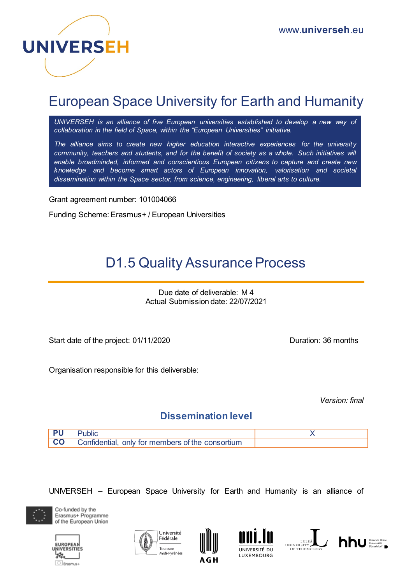

## European Space University for Earth and Humanity

*UNIVERSEH is an alliance of five European universities established to develop a new way of collaboration in the field of Space, within the "European Universities" initiative.*

*The alliance aims to create new higher education interactive experiences for the university community, teachers and students, and for the benefit of society as a whole. Such initiatives will enable broadminded, informed and conscientious European citizens to capture and create new knowledge and become smart actors of European innovation, valorisation and societal dissemination within the Space sector, from science, engineering, liberal arts to culture.*

Grant agreement number: 101004066

Funding Scheme: Erasmus+ / European Universities

# D1.5 Quality Assurance Process

Due date of deliverable: M 4 Actual Submission date: 22/07/2021

Start date of the project: 01/11/2020 Duration: 36 months

Organisation responsible for this deliverable:

*Version: final* 

### **Dissemination level**



UNIVERSEH – European Space University for Earth and Humanity is an alliance of



Co-funded by the Erasmus+ Programme of the European Union









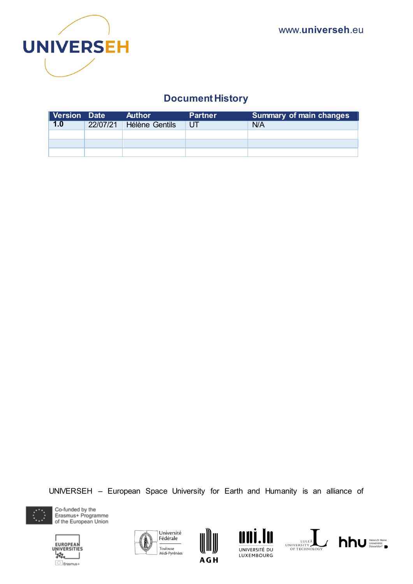

## **Document History**

| Version Date |          | <b>Author</b>  | <b>Partner</b> | <b>Summary of main changes</b> |
|--------------|----------|----------------|----------------|--------------------------------|
| 1.0          | 22/07/21 | Hélène Gentils | UT             | N/A                            |
|              |          |                |                |                                |
|              |          |                |                |                                |
|              |          |                |                |                                |

UNIVERSEH – European Space University for Earth and Humanity is an alliance of



Co-funded by the Erasmus+ Programme of the European Union











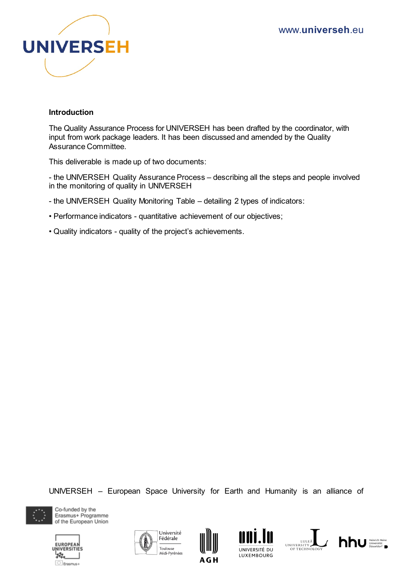

#### **Introduction**

The Quality Assurance Process for UNIVERSEH has been drafted by the coordinator, with input from work package leaders. It has been discussed and amended by the Quality Assurance Committee.

This deliverable is made up of two documents:

- the UNIVERSEH Quality Assurance Process – describing all the steps and people involved in the monitoring of quality in UNIVERSEH

- the UNIVERSEH Quality Monitoring Table detailing 2 types of indicators:
- Performance indicators quantitative achievement of our objectives;
- Quality indicators quality of the project's achievements.

UNIVERSEH – European Space University for Earth and Humanity is an alliance of



Co-funded by the Erasmus+ Programme of the European Union











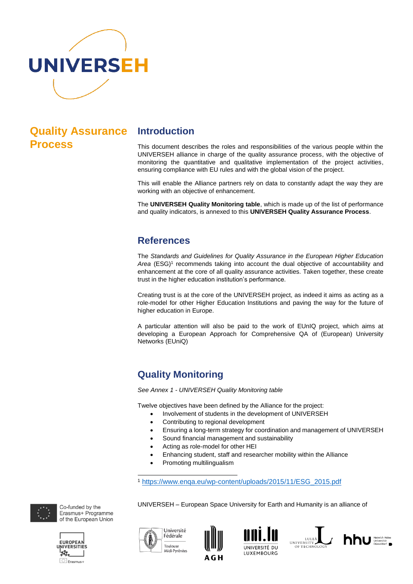

## **Quality Assurance Process**

#### **Introduction**

This document describes the roles and responsibilities of the various people within the UNIVERSEH alliance in charge of the quality assurance process, with the objective of monitoring the quantitative and qualitative implementation of the project activities, ensuring compliance with EU rules and with the global vision of the project.

This will enable the Alliance partners rely on data to constantly adapt the way they are working with an objective of enhancement.

The **UNIVERSEH Quality Monitoring table**, which is made up of the list of performance and quality indicators, is annexed to this **UNIVERSEH Quality Assurance Process**.

#### **References**

The *Standards and Guidelines for Quality Assurance in the European Higher Education*  Area (ESG)<sup>1</sup> recommends taking into account the dual objective of accountability and enhancement at the core of all quality assurance activities. Taken together, these create trust in the higher education institution's performance.

Creating trust is at the core of the UNIVERSEH project, as indeed it aims as acting as a role-model for other Higher Education Institutions and paving the way for the future of higher education in Europe.

A particular attention will also be paid to the work of EUnIQ project, which aims at developing a European Approach for Comprehensive QA of (European) University Networks (EUniQ)

### **Quality Monitoring**

*See Annex 1 - UNIVERSEH Quality Monitoring table*

Twelve objectives have been defined by the Alliance for the project:

- Involvement of students in the development of UNIVERSEH
- Contributing to regional development
- Ensuring a long-term strategy for coordination and management of UNIVERSEH
- Sound financial management and sustainability
- Acting as role-model for other HEI
- Enhancing student, staff and researcher mobility within the Alliance

UNIVERSEH – European Space University for Earth and Humanity is an alliance of

Promoting multilingualism

 $\overline{a}$ <sup>1</sup> [https://www.enqa.eu/wp-content/uploads/2015/11/ESG\\_2015.pdf](https://www.enqa.eu/wp-content/uploads/2015/11/ESG_2015.pdf)



Co-funded by the Erasmus+ Programme of the European Union



Université Fédérale Toulouse Midi-Pyrénées







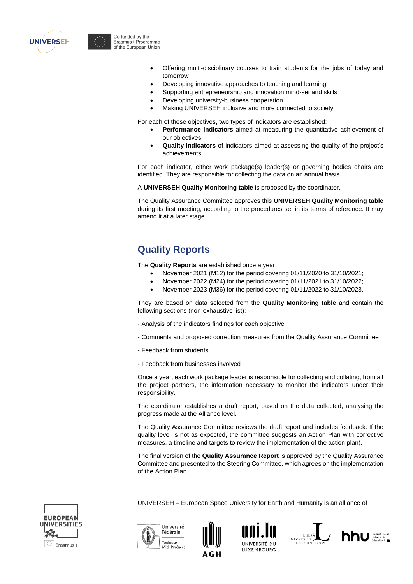



- Offering multi-disciplinary courses to train students for the jobs of today and tomorrow
- Developing innovative approaches to teaching and learning
- Supporting entrepreneurship and innovation mind-set and skills
- Developing university-business cooperation
- Making UNIVERSEH inclusive and more connected to society

For each of these objectives, two types of indicators are established:

- **Performance indicators** aimed at measuring the quantitative achievement of our objectives;
- **Quality indicators** of indicators aimed at assessing the quality of the project's achievements.

For each indicator, either work package(s) leader(s) or governing bodies chairs are identified. They are responsible for collecting the data on an annual basis.

A **UNIVERSEH Quality Monitoring table** is proposed by the coordinator.

The Quality Assurance Committee approves this **UNIVERSEH Quality Monitoring table** during its first meeting, according to the procedures set in its terms of reference. It may amend it at a later stage.

#### **Quality Reports**

The **Quality Reports** are established once a year:

- November 2021 (M12) for the period covering 01/11/2020 to 31/10/2021;
- November 2022 (M24) for the period covering 01/11/2021 to 31/10/2022;
- November 2023 (M36) for the period covering 01/11/2022 to 31/10/2023.

They are based on data selected from the **Quality Monitoring table** and contain the following sections (non-exhaustive list):

- Analysis of the indicators findings for each objective
- Comments and proposed correction measures from the Quality Assurance Committee
- Feedback from students
- Feedback from businesses involved

Once a year, each work package leader is responsible for collecting and collating, from all the project partners, the information necessary to monitor the indicators under their responsibility.

The coordinator establishes a draft report, based on the data collected, analysing the progress made at the Alliance level.

The Quality Assurance Committee reviews the draft report and includes feedback. If the quality level is not as expected, the committee suggests an Action Plan with corrective measures, a timeline and targets to review the implementation of the action plan).

The final version of the **Quality Assurance Report** is approved by the Quality Assurance Committee and presented to the Steering Committee, which agrees on the implementation of the Action Plan.



UNIVERSEH – European Space University for Earth and Humanity is an alliance of









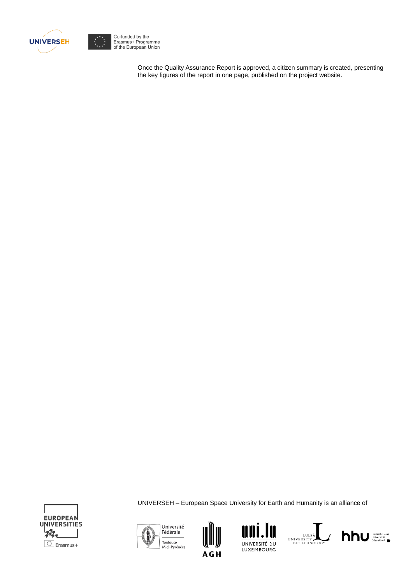

Co-funded by the<br>Erasmus+ Programme<br>of the European Union

Once the Quality Assurance Report is approved, a citizen summary is created, presenting the key figures of the report in one page, published on the project website.



UNIVERSEH – European Space University for Earth and Humanity is an alliance of









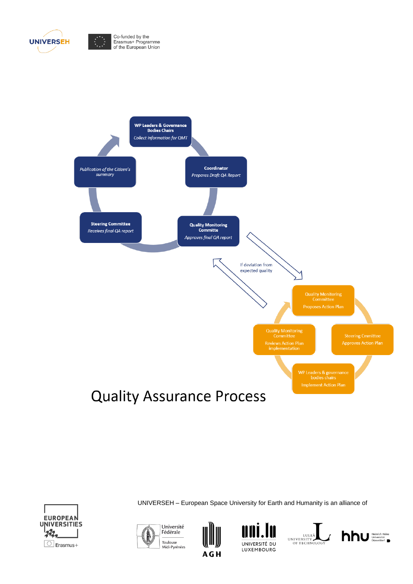

Co-funded by the<br>Erasmus+ Programme<br>of the European Union



**Quality Assurance Process** 



UNIVERSEH – European Space University for Earth and Humanity is an alliance of









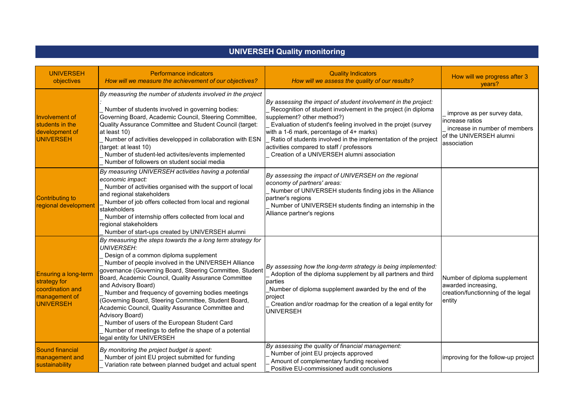| UNIVERSEH QUAIIty monitoring                                                           |                                                                                                                                                                                                                                                                                                                                                                                                                                                                                                                                                                                                                                                                |                                                                                                                                                                                                                                                                                                                                                                                                                                           |                                                                                                                           |  |
|----------------------------------------------------------------------------------------|----------------------------------------------------------------------------------------------------------------------------------------------------------------------------------------------------------------------------------------------------------------------------------------------------------------------------------------------------------------------------------------------------------------------------------------------------------------------------------------------------------------------------------------------------------------------------------------------------------------------------------------------------------------|-------------------------------------------------------------------------------------------------------------------------------------------------------------------------------------------------------------------------------------------------------------------------------------------------------------------------------------------------------------------------------------------------------------------------------------------|---------------------------------------------------------------------------------------------------------------------------|--|
| <b>UNIVERSEH</b><br>objectives                                                         | <b>Performance indicators</b><br>How will we measure the achievement of our objectives?                                                                                                                                                                                                                                                                                                                                                                                                                                                                                                                                                                        | <b>Quality Indicators</b><br>How will we assess the quality of our results?                                                                                                                                                                                                                                                                                                                                                               | How will we progress after 3<br>years?                                                                                    |  |
| Involvement of<br>students in the<br>development of<br><b>UNIVERSEH</b>                | By measuring the number of students involved in the project<br>Number of students involved in governing bodies:<br>Governing Board, Academic Council, Steering Committee,<br>Quality Assurance Committee and Student Council (target:<br>at least 10)<br>Number of activities developped in collaboration with ESN<br>(target: at least 10)<br>Number of student-led activites/events implemented<br>Number of followers on student social media                                                                                                                                                                                                               | By assessing the impact of student involvement in the project:<br>Recognition of student involvement in the project (in diploma<br>supplement? other method?)<br>Evaluation of student's feeling involved in the projet (survey<br>with a 1-6 mark, percentage of 4+ marks)<br>Ratio of students involved in the implementation of the project<br>activities compared to staff / professors<br>Creation of a UNIVERSEH alumni association | improve as per survey data,<br>increase ratios<br>increase in number of members<br>of the UNIVERSEH alumni<br>association |  |
| <b>Contributing to</b><br>regional development                                         | By measuring UNIVERSEH activities having a potential<br>economic impact:<br>Number of activities organised with the support of local<br>and regional stakeholders<br>Number of job offers collected from local and regional<br>stakeholders<br>Number of internship offers collected from local and<br>regional stakeholders<br>Number of start-ups created by UNIVERSEH alumni                                                                                                                                                                                                                                                                                | By assessing the impact of UNIVERSEH on the regional<br>economy of partners' areas:<br>Number of UNIVERSEH students finding jobs in the Alliance<br>partner's regions<br>Number of UNIVERSEH students finding an internship in the<br>Alliance partner's regions                                                                                                                                                                          |                                                                                                                           |  |
| Ensuring a long-term<br>strategy for<br>coordination and<br>management of<br>UNIVERSEH | By measuring the steps towards the a long term strategy for<br><b>UNIVERSEH:</b><br>Design of a common diploma supplement<br>Number of people involved in the UNIVERSEH Alliance<br>governance (Governing Board, Steering Committee, Student<br>Board, Academic Council, Quality Assurance Committee<br>and Advisory Board)<br>Number and frequency of governing bodies meetings<br>(Governing Board, Steering Committee, Student Board,<br>Academic Council, Quality Assurance Committee and<br><b>Advisory Board)</b><br>Number of users of the European Student Card<br>Number of meetings to define the shape of a potential<br>legal entity for UNIVERSEH | By assessing how the long-term strategy is being implemented:<br>Adoption of the diploma supplement by all partners and third<br>parties<br>Number of diploma supplement awarded by the end of the<br>project<br>Creation and/or roadmap for the creation of a legal entity for<br><b>UNIVERSEH</b>                                                                                                                                       | Number of diploma supplement<br>awarded increasing,<br>creation/functionning of the legal<br>entity                       |  |
| <b>Sound financial</b><br>management and<br>sustainability                             | By monitoring the project budget is spent:<br>Number of joint EU project submitted for funding<br>Variation rate between planned budget and actual spent                                                                                                                                                                                                                                                                                                                                                                                                                                                                                                       | By assessing the quality of financial management:<br>Number of joint EU projects approved<br>Amount of complementary funding received<br>Positive EU-commissioned audit conclusions                                                                                                                                                                                                                                                       | improving for the follow-up project                                                                                       |  |

## **UNIVERSEH Quality monitoring**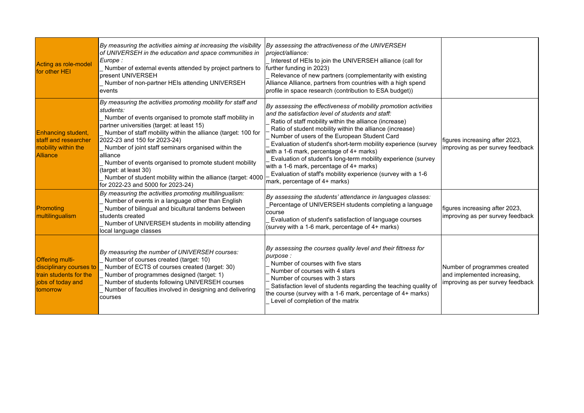| Acting as role-model<br>for other HEI                                                                        | By measuring the activities aiming at increasing the visibility<br>of UNIVERSEH in the education and space communities in<br>Europe :<br>Number of external events attended by project partners to<br>present UNIVERSEH<br>Number of non-partner HEIs attending UNIVERSEH<br>events                                                                                                                                                                                                                                                            | By assessing the attractiveness of the UNIVERSEH<br>project/alliance:<br>Interest of HEIs to join the UNIVERSEH alliance (call for<br>further funding in 2023)<br>Relevance of new partners (complementarity with existing<br>Alliance Alliance, partners from countries with a high spend<br>profile in space research (contribution to ESA budget))                                                                                                                                                                                                                                                                  |                                                                                                 |
|--------------------------------------------------------------------------------------------------------------|------------------------------------------------------------------------------------------------------------------------------------------------------------------------------------------------------------------------------------------------------------------------------------------------------------------------------------------------------------------------------------------------------------------------------------------------------------------------------------------------------------------------------------------------|------------------------------------------------------------------------------------------------------------------------------------------------------------------------------------------------------------------------------------------------------------------------------------------------------------------------------------------------------------------------------------------------------------------------------------------------------------------------------------------------------------------------------------------------------------------------------------------------------------------------|-------------------------------------------------------------------------------------------------|
| <b>Enhancing student,</b><br>staff and researcher<br>mobility within the<br><b>Alliance</b>                  | By measuring the activities promoting mobility for staff and<br>students:<br>Number of events organised to promote staff mobility in<br>partner universities (target: at least 15)<br>Number of staff mobility within the alliance (target: 100 for<br>2022-23 and 150 for 2023-24)<br>Number of joint staff seminars organised within the<br>alliance<br>Number of events organised to promote student mobility<br>(target: at least 30)<br>Number of student mobility within the alliance (target: 4000<br>for 2022-23 and 5000 for 2023-24) | By assessing the effectiveness of mobility promotion activities<br>and the satisfaction level of students and staff:<br>Ratio of staff mobility within the alliance (increase)<br>Ratio of student mobility within the alliance (increase)<br>Number of users of the European Student Card<br>Evaluation of student's short-term mobility experience (survey<br>with a 1-6 mark, percentage of 4+ marks)<br>Evaluation of student's long-term mobility experience (survey<br>with a 1-6 mark, percentage of 4+ marks)<br>Evaluation of staff's mobility experience (survey with a 1-6<br>mark, percentage of 4+ marks) | figures increasing after 2023,<br>improving as per survey feedback                              |
| Promoting<br>multilingualism                                                                                 | By measuring the activities promoting multilingualism:<br>Number of events in a language other than English<br>Number of bilingual and bicultural tandems between<br>students created<br>Number of UNIVERSEH students in mobility attending<br>local language classes                                                                                                                                                                                                                                                                          | By assessing the students' attendance in languages classes:<br>Percentage of UNIVERSEH students completing a language<br>course<br>Evaluation of student's satisfaction of language courses<br>(survey with a 1-6 mark, percentage of 4+ marks)                                                                                                                                                                                                                                                                                                                                                                        | figures increasing after 2023,<br>improving as per survey feedback                              |
| <b>Offering multi-</b><br>disciplinary courses to<br>train students for the<br>jobs of today and<br>tomorrow | By measuring the number of UNIVERSEH courses:<br>Number of courses created (target: 10)<br>Number of ECTS of courses created (target: 30)<br>Number of programmes designed (target: 1)<br>Number of students following UNIVERSEH courses<br>Number of faculties involved in designing and delivering<br>courses                                                                                                                                                                                                                                | By assessing the courses quality level and their fittness for<br>purpose:<br>Number of courses with five stars<br>Number of courses with 4 stars<br>Number of courses with 3 stars<br>Satisfaction level of students regarding the teaching quality of<br>the course (survey with a 1-6 mark, percentage of 4+ marks)<br>Level of completion of the matrix                                                                                                                                                                                                                                                             | Number of programmes created<br>and implemented increasing,<br>improving as per survey feedback |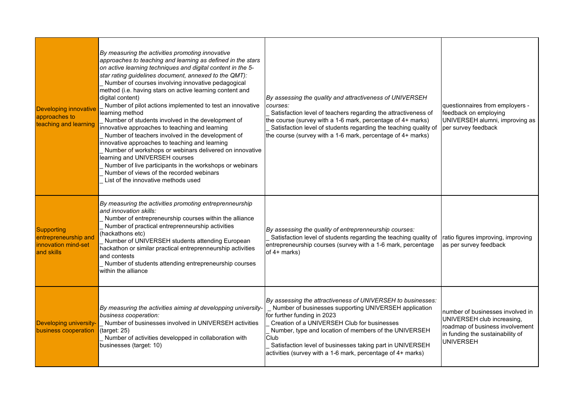| <b>Developing innovative</b><br>approaches to<br>teaching and learning         | By measuring the activities promoting innovative<br>approaches to teaching and learning as defined in the stars<br>on active learning techniques and digital content in the 5-<br>star rating guidelines document, annexed to the QMT):<br>Number of courses involving innovative pedagogical<br>method (i.e. having stars on active learning content and<br>digital content)<br>Number of pilot actions implemented to test an innovative<br>learning method<br>Number of students involved in the development of<br>innovative approaches to teaching and learning<br>Number of teachers involved in the development of<br>innovative approaches to teaching and learning<br>Number of workshops or webinars delivered on innovative<br>learning and UNIVERSEH courses<br>Number of live participants in the workshops or webinars<br>Number of views of the recorded webinars<br>List of the innovative methods used | By assessing the quality and attractiveness of UNIVERSEH<br>courses:<br>Satisfaction level of teachers regarding the attractiveness of<br>the course (survey with a 1-6 mark, percentage of 4+ marks)<br>Satisfaction level of students regarding the teaching quality of<br>the course (survey with a 1-6 mark, percentage of 4+ marks)                                                        | questionnaires from employers -<br>feedback on employing<br>UNIVERSEH alumni, improving as<br>per survey feedback                                         |
|--------------------------------------------------------------------------------|-------------------------------------------------------------------------------------------------------------------------------------------------------------------------------------------------------------------------------------------------------------------------------------------------------------------------------------------------------------------------------------------------------------------------------------------------------------------------------------------------------------------------------------------------------------------------------------------------------------------------------------------------------------------------------------------------------------------------------------------------------------------------------------------------------------------------------------------------------------------------------------------------------------------------|-------------------------------------------------------------------------------------------------------------------------------------------------------------------------------------------------------------------------------------------------------------------------------------------------------------------------------------------------------------------------------------------------|-----------------------------------------------------------------------------------------------------------------------------------------------------------|
| <b>Supporting</b><br>entrepreneurship and<br>innovation mind-set<br>and skills | By measuring the activities promoting entreprenneurship<br>and innovation skills:<br>Number of entrepreneurship courses within the alliance<br>Number of practical entreprenneurship activities<br>(hackathons etc)<br>Number of UNIVERSEH students attending European<br>hackathon or similar practical entreprenneurship activities<br>and contests<br>Number of students attending entrepreneurship courses<br>within the alliance                                                                                                                                                                                                                                                                                                                                                                                                                                                                                   | By assessing the quality of entreprenneurship courses:<br>Satisfaction level of students regarding the teaching quality of<br>entrepreneurship courses (survey with a 1-6 mark, percentage<br>of $4+$ marks)                                                                                                                                                                                    | ratio figures improving, improving<br>as per survey feedback                                                                                              |
| <b>Developing university-</b><br>business cooperation                          | By measuring the activities aiming at developping university-<br>business cooperation:<br>Number of businesses involved in UNIVERSEH activities<br>(target: 25)<br>Number of activities developped in collaboration with<br>businesses (target: 10)                                                                                                                                                                                                                                                                                                                                                                                                                                                                                                                                                                                                                                                                     | By assessing the attractiveness of UNIVERSEH to businesses:<br>Number of businesses supporting UNIVERSEH application<br>for further funding in 2023<br>Creation of a UNIVERSEH Club for businesses<br>Number, type and location of members of the UNIVERSEH<br>Club<br>Satisfaction level of businesses taking part in UNIVERSEH<br>activities (survey with a 1-6 mark, percentage of 4+ marks) | number of businesses involved in<br>UNIVERSEH club increasing,<br>roadmap of business involvement<br>in funding the sustainability of<br><b>UNIVERSEH</b> |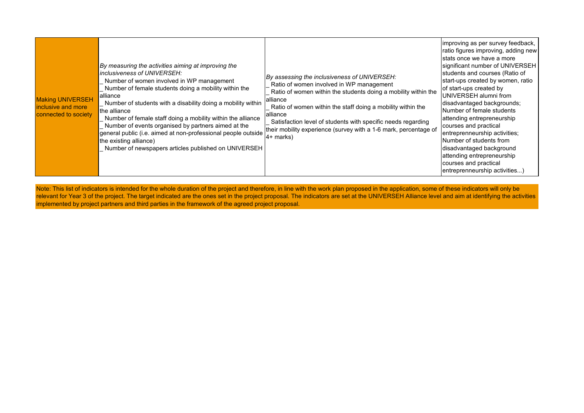| <b>Making UNIVERSEH</b><br>inclusive and more<br>connected to society | By measuring the activities aiming at improving the<br>inclusiveness of UNIVERSEH:<br>Number of women involved in WP management<br>Number of female students doing a mobility within the<br>alliance<br>Number of students with a disability doing a mobility within<br>the alliance<br>Number of female staff doing a mobility within the alliance<br>Number of events organised by partners aimed at the<br>general public (i.e. aimed at non-professional people outside<br>the existing alliance)<br>Number of newspapers articles published on UNIVERSEH | By assessing the inclusiveness of UNIVERSEH:<br>Ratio of women involved in WP management<br>Ratio of women within the students doing a mobility within the<br>alliance<br>Ratio of women within the staff doing a mobility within the<br>alliance<br>Satisfaction level of students with specific needs regarding<br>their mobility experience (survey with a 1-6 mark, percentage of<br>$4+$ marks) | limproving as per survey feedback,<br>ratio figures improving, adding new<br>stats once we have a more<br>significant number of UNIVERSEH<br>students and courses (Ratio of<br>start-ups created by women, ratio<br>of start-ups created by<br>UNIVERSEH alumni from<br>disadvantaged backgrounds;<br>Number of female students<br>attending entrepreneurship<br>courses and practical<br>entreprenneurship activities;<br>Number of students from<br>disadvantaged background<br>attending entrepreneurship<br>courses and practical<br>entreprenneurship activities) |
|-----------------------------------------------------------------------|---------------------------------------------------------------------------------------------------------------------------------------------------------------------------------------------------------------------------------------------------------------------------------------------------------------------------------------------------------------------------------------------------------------------------------------------------------------------------------------------------------------------------------------------------------------|------------------------------------------------------------------------------------------------------------------------------------------------------------------------------------------------------------------------------------------------------------------------------------------------------------------------------------------------------------------------------------------------------|------------------------------------------------------------------------------------------------------------------------------------------------------------------------------------------------------------------------------------------------------------------------------------------------------------------------------------------------------------------------------------------------------------------------------------------------------------------------------------------------------------------------------------------------------------------------|
|-----------------------------------------------------------------------|---------------------------------------------------------------------------------------------------------------------------------------------------------------------------------------------------------------------------------------------------------------------------------------------------------------------------------------------------------------------------------------------------------------------------------------------------------------------------------------------------------------------------------------------------------------|------------------------------------------------------------------------------------------------------------------------------------------------------------------------------------------------------------------------------------------------------------------------------------------------------------------------------------------------------------------------------------------------------|------------------------------------------------------------------------------------------------------------------------------------------------------------------------------------------------------------------------------------------------------------------------------------------------------------------------------------------------------------------------------------------------------------------------------------------------------------------------------------------------------------------------------------------------------------------------|

Note: This list of indicators is intended for the whole duration of the project and therefore, in line with the work plan proposed in the application, some of these indicators will only be relevant for Year 3 of the project. The target indicated are the ones set in the project proposal. The indicators are set at the UNIVERSEH Alliance level and aim at identifying the activities implemented by project partners and third parties in the framework of the agreed project proposal.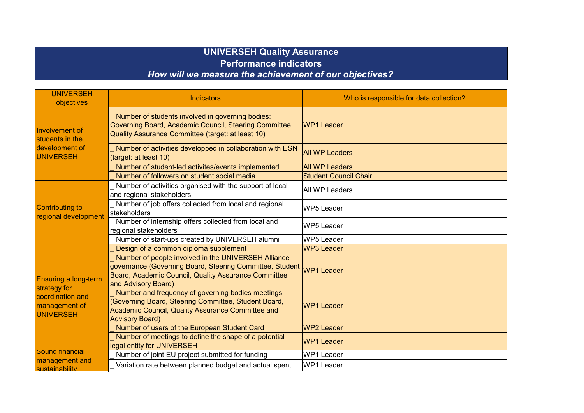## **UNIVERSEH Quality Assurance Performance indicators** *How will we measure the achievement of our objectives?*

| <b>UNIVERSEH</b><br>objectives                                        | <b>Indicators</b>                                                                                                                                                                              | Who is responsible for data collection? |
|-----------------------------------------------------------------------|------------------------------------------------------------------------------------------------------------------------------------------------------------------------------------------------|-----------------------------------------|
| Involvement of<br>students in the                                     | Number of students involved in governing bodies:<br>Governing Board, Academic Council, Steering Committee,<br>Quality Assurance Committee (target: at least 10)                                | <b>WP1 Leader</b>                       |
| development of<br>UNIVERSEH                                           | Number of activities developped in collaboration with ESN<br>(target: at least 10)                                                                                                             | <b>All WP Leaders</b>                   |
|                                                                       | Number of student-led activites/events implemented                                                                                                                                             | <b>All WP Leaders</b>                   |
|                                                                       | Number of followers on student social media                                                                                                                                                    | <b>Student Council Chair</b>            |
|                                                                       | Number of activities organised with the support of local<br>and regional stakeholders                                                                                                          | All WP Leaders                          |
| <b>Contributing to</b><br>regional development                        | Number of job offers collected from local and regional<br>stakeholders                                                                                                                         | <b>WP5 Leader</b>                       |
|                                                                       | Number of internship offers collected from local and<br>regional stakeholders                                                                                                                  | <b>WP5 Leader</b>                       |
|                                                                       | Number of start-ups created by UNIVERSEH alumni                                                                                                                                                | <b>WP5 Leader</b>                       |
|                                                                       | Design of a common diploma supplement                                                                                                                                                          | <b>WP3 Leader</b>                       |
| <b>Ensuring a long-term</b>                                           | Number of people involved in the UNIVERSEH Alliance<br>governance (Governing Board, Steering Committee, Student<br>Board, Academic Council, Quality Assurance Committee<br>and Advisory Board) | <b>WP1 Leader</b>                       |
| strategy for<br>coordination and<br>management of<br><b>UNIVERSEH</b> | Number and frequency of governing bodies meetings<br>(Governing Board, Steering Committee, Student Board,<br>Academic Council, Quality Assurance Committee and<br><b>Advisory Board)</b>       | <b>WP1 Leader</b>                       |
|                                                                       | Number of users of the European Student Card                                                                                                                                                   | <b>WP2 Leader</b>                       |
|                                                                       | Number of meetings to define the shape of a potential<br>legal entity for UNIVERSEH                                                                                                            | <b>WP1 Leader</b>                       |
| <b>Sound Tinancial</b>                                                | Number of joint EU project submitted for funding                                                                                                                                               | <b>WP1 Leader</b>                       |
| management and<br>sustainability                                      | Variation rate between planned budget and actual spent                                                                                                                                         | <b>WP1 Leader</b>                       |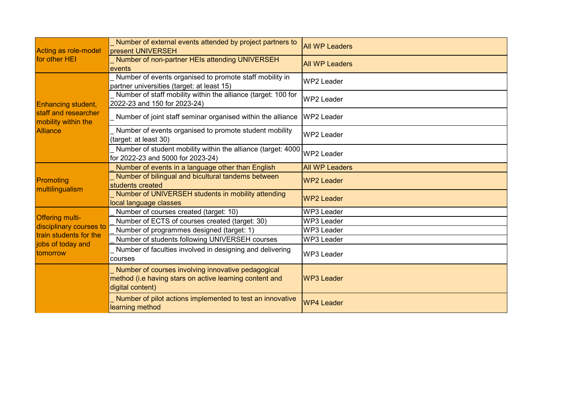| Acting as role-model<br>for other HEI             | Number of external events attended by project partners to<br>present UNIVERSEH                                                    | <b>All WP Leaders</b> |
|---------------------------------------------------|-----------------------------------------------------------------------------------------------------------------------------------|-----------------------|
|                                                   | Number of non-partner HEIs attending UNIVERSEH<br>events                                                                          | <b>All WP Leaders</b> |
|                                                   | Number of events organised to promote staff mobility in<br>partner universities (target: at least 15)                             | WP2 Leader            |
| <b>Enhancing student,</b>                         | Number of staff mobility within the alliance (target: 100 for<br>2022-23 and 150 for 2023-24)                                     | <b>WP2 Leader</b>     |
| staff and researcher<br>mobility within the       | Number of joint staff seminar organised within the alliance                                                                       | <b>WP2 Leader</b>     |
| <b>Alliance</b>                                   | Number of events organised to promote student mobility<br>(target: at least 30)                                                   | <b>WP2 Leader</b>     |
|                                                   | Number of student mobility within the alliance (target: 4000)<br>for 2022-23 and 5000 for 2023-24)                                | WP2 Leader            |
|                                                   | Number of events in a language other than English                                                                                 | <b>All WP Leaders</b> |
| Promoting<br>multilingualism                      | Number of bilingual and bicultural tandems between<br>students created                                                            | <b>WP2 Leader</b>     |
|                                                   | Number of UNIVERSEH students in mobility attending<br>local language classes                                                      | <b>WP2 Leader</b>     |
|                                                   | Number of courses created (target: 10)                                                                                            | <b>WP3 Leader</b>     |
| <b>Offering multi-</b>                            | Number of ECTS of courses created (target: 30)                                                                                    | <b>WP3 Leader</b>     |
| disciplinary courses to<br>train students for the | Number of programmes designed (target: 1)                                                                                         | <b>WP3 Leader</b>     |
| jobs of today and                                 | Number of students following UNIVERSEH courses                                                                                    | <b>WP3 Leader</b>     |
| tomorrow                                          | Number of faculties involved in designing and delivering<br>courses                                                               | <b>WP3 Leader</b>     |
|                                                   | Number of courses involving innovative pedagogical<br>method (i.e having stars on active learning content and<br>digital content) | <b>WP3 Leader</b>     |
|                                                   | Number of pilot actions implemented to test an innovative<br>learning method                                                      | <b>WP4 Leader</b>     |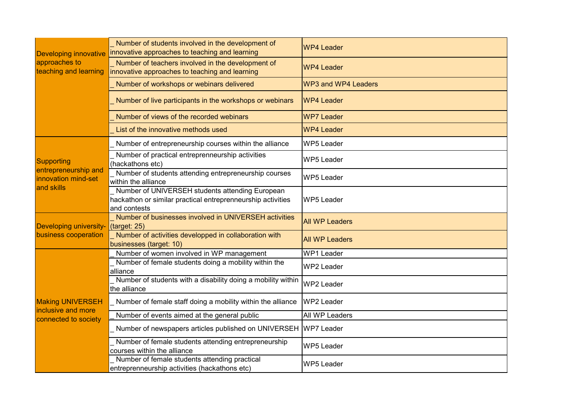| <b>Developing innovative</b>                              | Number of students involved in the development of<br>innovative approaches to teaching and learning                            | <b>WP4 Leader</b>          |
|-----------------------------------------------------------|--------------------------------------------------------------------------------------------------------------------------------|----------------------------|
| approaches to<br>teaching and learning                    | Number of teachers involved in the development of<br>innovative approaches to teaching and learning                            | <b>WP4 Leader</b>          |
|                                                           | Number of workshops or webinars delivered                                                                                      | <b>WP3 and WP4 Leaders</b> |
|                                                           | Number of live participants in the workshops or webinars                                                                       | <b>WP4 Leader</b>          |
|                                                           | Number of views of the recorded webinars                                                                                       | <b>WP7 Leader</b>          |
|                                                           | List of the innovative methods used                                                                                            | <b>WP4 Leader</b>          |
|                                                           | Number of entrepreneurship courses within the alliance                                                                         | <b>WP5 Leader</b>          |
| Supporting                                                | Number of practical entreprenneurship activities<br>(hackathons etc)                                                           | <b>WP5 Leader</b>          |
| entrepreneurship and<br>innovation mind-set<br>and skills | Number of students attending entrepreneurship courses<br>within the alliance                                                   | <b>WP5 Leader</b>          |
|                                                           | Number of UNIVERSEH students attending European<br>hackathon or similar practical entreprenneurship activities<br>and contests | <b>WP5 Leader</b>          |
| <b>Developing university-</b>                             | Number of businesses involved in UNIVERSEH activities<br>(target: 25)                                                          | <b>All WP Leaders</b>      |
| business cooperation                                      | Number of activities developped in collaboration with<br>businesses (target: 10)                                               | <b>All WP Leaders</b>      |
|                                                           | Number of women involved in WP management                                                                                      | <b>WP1 Leader</b>          |
|                                                           | Number of female students doing a mobility within the<br>alliance                                                              | <b>WP2 Leader</b>          |
|                                                           | Number of students with a disability doing a mobility within<br>the alliance                                                   | <b>WP2 Leader</b>          |
| <b>Making UNIVERSEH</b>                                   | Number of female staff doing a mobility within the alliance                                                                    | <b>WP2 Leader</b>          |
| inclusive and more<br>connected to society                | Number of events aimed at the general public                                                                                   | All WP Leaders             |
|                                                           | Number of newspapers articles published on UNIVERSEH WP7 Leader                                                                |                            |
|                                                           | Number of female students attending entrepreneurship<br>courses within the alliance                                            | <b>WP5 Leader</b>          |
|                                                           | Number of female students attending practical<br>entreprenneurship activities (hackathons etc)                                 | <b>WP5 Leader</b>          |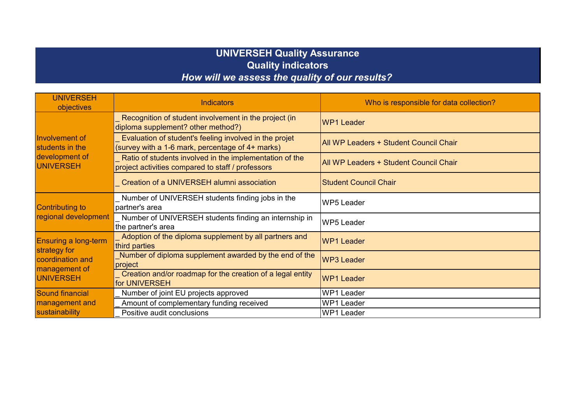## **UNIVERSEH Quality Assurance Quality indicators** *How will we assess the quality of our results?*

| <b>UNIVERSEH</b><br>objectives                        | <b>Indicators</b>                                                                                            | Who is responsible for data collection? |
|-------------------------------------------------------|--------------------------------------------------------------------------------------------------------------|-----------------------------------------|
|                                                       | Recognition of student involvement in the project (in<br>diploma supplement? other method?)                  | <b>WP1 Leader</b>                       |
| Involvement of<br>students in the                     | Evaluation of student's feeling involved in the projet<br>(survey with a 1-6 mark, percentage of 4+ marks)   | All WP Leaders + Student Council Chair  |
| development of<br>UNIVERSEH                           | Ratio of students involved in the implementation of the<br>project activities compared to staff / professors | All WP Leaders + Student Council Chair  |
|                                                       | Creation of a UNIVERSEH alumni association                                                                   | <b>Student Council Chair</b>            |
| <b>Contributing to</b><br>regional development        | Number of UNIVERSEH students finding jobs in the<br>partner's area                                           | <b>WP5 Leader</b>                       |
|                                                       | Number of UNIVERSEH students finding an internship in<br>the partner's area                                  | <b>WP5 Leader</b>                       |
| <b>Ensuring a long-term</b><br>strategy for           | Adoption of the diploma supplement by all partners and<br>third parties                                      | <b>WP1 Leader</b>                       |
| coordination and<br>management of<br><b>UNIVERSEH</b> | Number of diploma supplement awarded by the end of the<br>project                                            | <b>WP3 Leader</b>                       |
|                                                       | Creation and/or roadmap for the creation of a legal entity<br>for UNIVERSEH                                  | <b>WP1 Leader</b>                       |
| <b>Sound financial</b>                                | Number of joint EU projects approved                                                                         | <b>WP1 Leader</b>                       |
| management and                                        | Amount of complementary funding received                                                                     | <b>WP1 Leader</b>                       |
| sustainability                                        | Positive audit conclusions                                                                                   | <b>WP1 Leader</b>                       |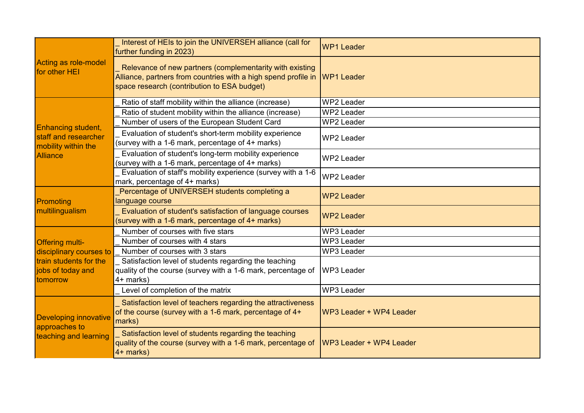|                                                                        | Interest of HEIs to join the UNIVERSEH alliance (call for<br>further funding in 2023)                                                                                     | <b>WP1 Leader</b>       |
|------------------------------------------------------------------------|---------------------------------------------------------------------------------------------------------------------------------------------------------------------------|-------------------------|
| Acting as role-model<br>for other HEI                                  | Relevance of new partners (complementarity with existing<br>Alliance, partners from countries with a high spend profile in<br>space research (contribution to ESA budget) | <b>WP1 Leader</b>       |
|                                                                        | Ratio of staff mobility within the alliance (increase)                                                                                                                    | <b>WP2 Leader</b>       |
|                                                                        | Ratio of student mobility within the alliance (increase)                                                                                                                  | <b>WP2 Leader</b>       |
| Enhancing student,                                                     | Number of users of the European Student Card                                                                                                                              | <b>WP2 Leader</b>       |
| staff and researcher<br>mobility within the                            | Evaluation of student's short-term mobility experience<br>(survey with a 1-6 mark, percentage of 4+ marks)                                                                | <b>WP2 Leader</b>       |
| <b>Alliance</b>                                                        | Evaluation of student's long-term mobility experience<br>(survey with a 1-6 mark, percentage of 4+ marks)                                                                 | <b>WP2 Leader</b>       |
|                                                                        | Evaluation of staff's mobility experience (survey with a 1-6<br>mark, percentage of 4+ marks)                                                                             | <b>WP2 Leader</b>       |
| Promoting                                                              | Percentage of UNIVERSEH students completing a<br>language course                                                                                                          | <b>WP2 Leader</b>       |
| multilingualism                                                        | Evaluation of student's satisfaction of language courses<br>(survey with a 1-6 mark, percentage of 4+ marks)                                                              | <b>WP2 Leader</b>       |
|                                                                        | Number of courses with five stars                                                                                                                                         | <b>WP3 Leader</b>       |
| <b>Offering multi-</b>                                                 | Number of courses with 4 stars                                                                                                                                            | <b>WP3 Leader</b>       |
| disciplinary courses to                                                | Number of courses with 3 stars                                                                                                                                            | <b>WP3 Leader</b>       |
| train students for the<br>jobs of today and<br>tomorrow                | Satisfaction level of students regarding the teaching<br>quality of the course (survey with a 1-6 mark, percentage of<br>4+ marks)                                        | <b>WP3 Leader</b>       |
|                                                                        | Level of completion of the matrix                                                                                                                                         | <b>WP3 Leader</b>       |
| <b>Developing innovative</b><br>approaches to<br>teaching and learning | Satisfaction level of teachers regarding the attractiveness<br>of the course (survey with a 1-6 mark, percentage of 4+<br>marks)                                          | WP3 Leader + WP4 Leader |
|                                                                        | Satisfaction level of students regarding the teaching<br>quality of the course (survey with a 1-6 mark, percentage of<br>4+ marks)                                        | WP3 Leader + WP4 Leader |